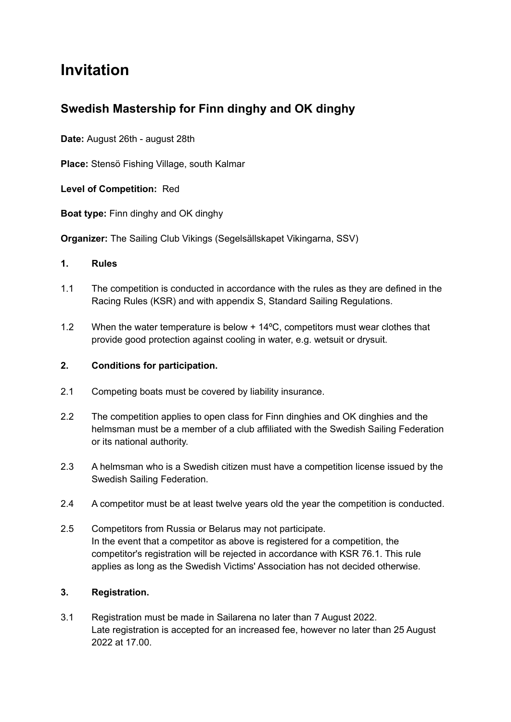# **Invitation**

# **Swedish Mastership for Finn dinghy and OK dinghy**

**Date:** August 26th - august 28th

**Place:** Stensö Fishing Village, south Kalmar

**Level of Competition:** Red

**Boat type:** Finn dinghy and OK dinghy

**Organizer:** The Sailing Club Vikings (Segelsällskapet Vikingarna, SSV)

#### **1. Rules**

- 1.1 The competition is conducted in accordance with the rules as they are defined in the Racing Rules (KSR) and with appendix S, Standard Sailing Regulations.
- 1.2 When the water temperature is below + 14ºC, competitors must wear clothes that provide good protection against cooling in water, e.g. wetsuit or drysuit.

#### **2. Conditions for participation.**

- 2.1 Competing boats must be covered by liability insurance.
- 2.2 The competition applies to open class for Finn dinghies and OK dinghies and the helmsman must be a member of a club affiliated with the Swedish Sailing Federation or its national authority.
- 2.3 A helmsman who is a Swedish citizen must have a competition license issued by the Swedish Sailing Federation.
- 2.4 A competitor must be at least twelve years old the year the competition is conducted.
- 2.5 Competitors from Russia or Belarus may not participate. In the event that a competitor as above is registered for a competition, the competitor's registration will be rejected in accordance with KSR 76.1. This rule applies as long as the Swedish Victims' Association has not decided otherwise.

# **3. Registration.**

3.1 Registration must be made in Sailarena no later than 7 August 2022. Late registration is accepted for an increased fee, however no later than 25 August 2022 at 17.00.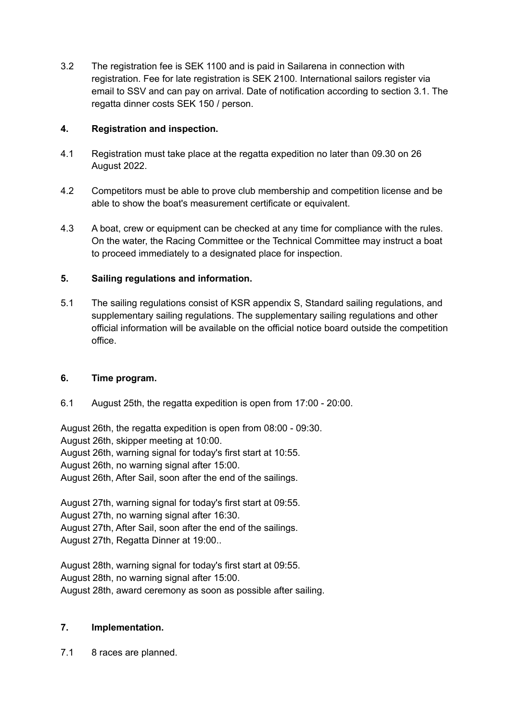3.2 The registration fee is SEK 1100 and is paid in Sailarena in connection with registration. Fee for late registration is SEK 2100. International sailors register via email to SSV and can pay on arrival. Date of notification according to section 3.1. The regatta dinner costs SEK 150 / person.

# **4. Registration and inspection.**

- 4.1 Registration must take place at the regatta expedition no later than 09.30 on 26 August 2022.
- 4.2 Competitors must be able to prove club membership and competition license and be able to show the boat's measurement certificate or equivalent.
- 4.3 A boat, crew or equipment can be checked at any time for compliance with the rules. On the water, the Racing Committee or the Technical Committee may instruct a boat to proceed immediately to a designated place for inspection.

# **5. Sailing regulations and information.**

5.1 The sailing regulations consist of KSR appendix S, Standard sailing regulations, and supplementary sailing regulations. The supplementary sailing regulations and other official information will be available on the official notice board outside the competition office.

# **6. Time program.**

6.1 August 25th, the regatta expedition is open from 17:00 - 20:00.

August 26th, the regatta expedition is open from 08:00 - 09:30.

August 26th, skipper meeting at 10:00.

August 26th, warning signal for today's first start at 10:55.

August 26th, no warning signal after 15:00.

August 26th, After Sail, soon after the end of the sailings.

August 27th, warning signal for today's first start at 09:55.

August 27th, no warning signal after 16:30.

August 27th, After Sail, soon after the end of the sailings.

August 27th, Regatta Dinner at 19:00..

August 28th, warning signal for today's first start at 09:55. August 28th, no warning signal after 15:00.

August 28th, award ceremony as soon as possible after sailing.

# **7. Implementation.**

7.1 8 races are planned.